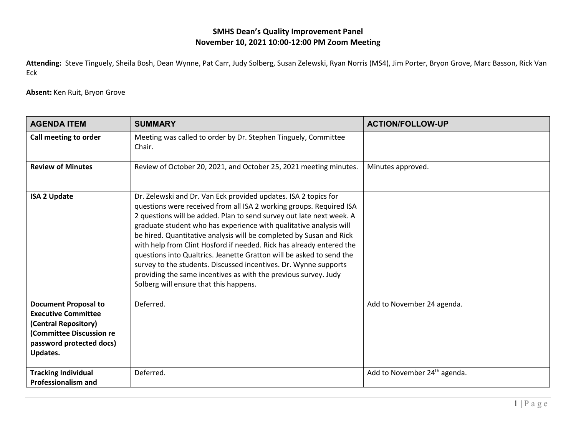## **SMHS Dean's Quality Improvement Panel November 10, 2021 10:00-12:00 PM Zoom Meeting**

**Attending:** Steve Tinguely, Sheila Bosh, Dean Wynne, Pat Carr, Judy Solberg, Susan Zelewski, Ryan Norris (MS4), Jim Porter, Bryon Grove, Marc Basson, Rick Van Eck

**Absent:** Ken Ruit, Bryon Grove

| <b>AGENDA ITEM</b>                                                                                                                                    | <b>SUMMARY</b>                                                                                                                                                                                                                                                                                                                                                                                                                                                                                                                                                                                                                                                                               | <b>ACTION/FOLLOW-UP</b>                  |
|-------------------------------------------------------------------------------------------------------------------------------------------------------|----------------------------------------------------------------------------------------------------------------------------------------------------------------------------------------------------------------------------------------------------------------------------------------------------------------------------------------------------------------------------------------------------------------------------------------------------------------------------------------------------------------------------------------------------------------------------------------------------------------------------------------------------------------------------------------------|------------------------------------------|
| Call meeting to order                                                                                                                                 | Meeting was called to order by Dr. Stephen Tinguely, Committee<br>Chair.                                                                                                                                                                                                                                                                                                                                                                                                                                                                                                                                                                                                                     |                                          |
| <b>Review of Minutes</b>                                                                                                                              | Review of October 20, 2021, and October 25, 2021 meeting minutes.                                                                                                                                                                                                                                                                                                                                                                                                                                                                                                                                                                                                                            | Minutes approved.                        |
| <b>ISA 2 Update</b>                                                                                                                                   | Dr. Zelewski and Dr. Van Eck provided updates. ISA 2 topics for<br>questions were received from all ISA 2 working groups. Required ISA<br>2 questions will be added. Plan to send survey out late next week. A<br>graduate student who has experience with qualitative analysis will<br>be hired. Quantitative analysis will be completed by Susan and Rick<br>with help from Clint Hosford if needed. Rick has already entered the<br>questions into Qualtrics. Jeanette Gratton will be asked to send the<br>survey to the students. Discussed incentives. Dr. Wynne supports<br>providing the same incentives as with the previous survey. Judy<br>Solberg will ensure that this happens. |                                          |
| <b>Document Proposal to</b><br><b>Executive Committee</b><br>(Central Repository)<br>(Committee Discussion re<br>password protected docs)<br>Updates. | Deferred.                                                                                                                                                                                                                                                                                                                                                                                                                                                                                                                                                                                                                                                                                    | Add to November 24 agenda.               |
| <b>Tracking Individual</b><br><b>Professionalism and</b>                                                                                              | Deferred.                                                                                                                                                                                                                                                                                                                                                                                                                                                                                                                                                                                                                                                                                    | Add to November 24 <sup>th</sup> agenda. |